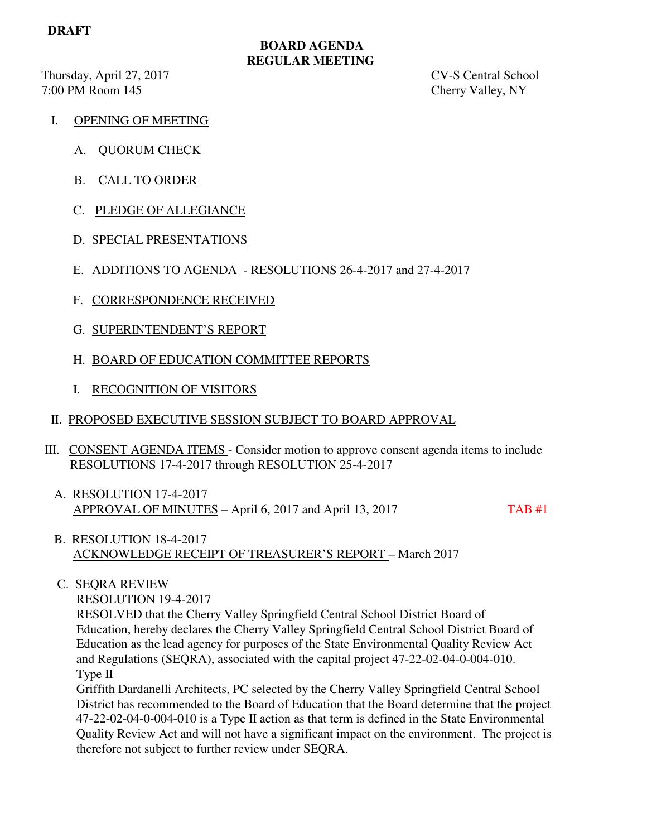#### **DRAFT**

## **BOARD AGENDA REGULAR MEETING**

Thursday, April 27, 2017 CV-S Central School 7:00 PM Room 145 Cherry Valley, NY

- I. OPENING OF MEETING
	- A. QUORUM CHECK
	- B. CALL TO ORDER
	- C. PLEDGE OF ALLEGIANCE
	- D. SPECIAL PRESENTATIONS
	- E. ADDITIONS TO AGENDA RESOLUTIONS 26-4-2017 and 27-4-2017
	- F. CORRESPONDENCE RECEIVED
	- G. SUPERINTENDENT'S REPORT
	- H. BOARD OF EDUCATION COMMITTEE REPORTS
	- I. RECOGNITION OF VISITORS
- II. PROPOSED EXECUTIVE SESSION SUBJECT TO BOARD APPROVAL
- III. CONSENT AGENDA ITEMS Consider motion to approve consent agenda items to include RESOLUTIONS 17-4-2017 through RESOLUTION 25-4-2017
	- A. RESOLUTION 17-4-2017 APPROVAL OF MINUTES – April 6, 2017 and April 13, 2017 TAB #1
	- B. RESOLUTION 18-4-2017 ACKNOWLEDGE RECEIPT OF TREASURER'S REPORT – March 2017
	- C. SEQRA REVIEW
		- RESOLUTION 19-4-2017

 RESOLVED that the Cherry Valley Springfield Central School District Board of Education, hereby declares the Cherry Valley Springfield Central School District Board of Education as the lead agency for purposes of the State Environmental Quality Review Act and Regulations (SEQRA), associated with the capital project 47-22-02-04-0-004-010. Type II

 Griffith Dardanelli Architects, PC selected by the Cherry Valley Springfield Central School District has recommended to the Board of Education that the Board determine that the project 47-22-02-04-0-004-010 is a Type II action as that term is defined in the State Environmental Quality Review Act and will not have a significant impact on the environment. The project is therefore not subject to further review under SEQRA.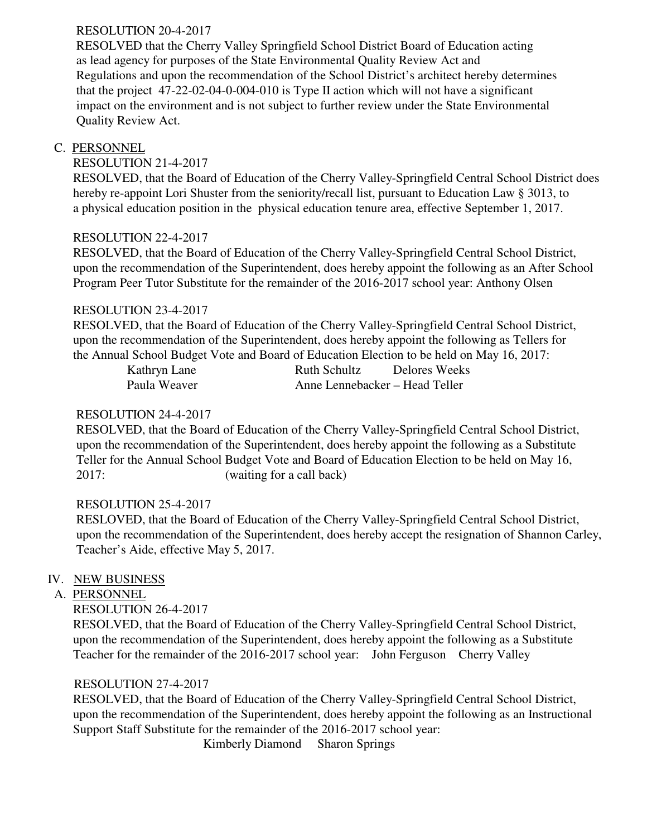#### RESOLUTION 20-4-2017

 RESOLVED that the Cherry Valley Springfield School District Board of Education acting as lead agency for purposes of the State Environmental Quality Review Act and Regulations and upon the recommendation of the School District's architect hereby determines that the project 47-22-02-04-0-004-010 is Type II action which will not have a significant impact on the environment and is not subject to further review under the State Environmental Quality Review Act.

### C. PERSONNEL

## RESOLUTION 21-4-2017

 RESOLVED, that the Board of Education of the Cherry Valley-Springfield Central School District does hereby re-appoint Lori Shuster from the seniority/recall list, pursuant to Education Law § 3013, to a physical education position in the physical education tenure area, effective September 1, 2017.

#### RESOLUTION 22-4-2017

 RESOLVED, that the Board of Education of the Cherry Valley-Springfield Central School District, upon the recommendation of the Superintendent, does hereby appoint the following as an After School Program Peer Tutor Substitute for the remainder of the 2016-2017 school year: Anthony Olsen

#### RESOLUTION 23-4-2017

 RESOLVED, that the Board of Education of the Cherry Valley-Springfield Central School District, upon the recommendation of the Superintendent, does hereby appoint the following as Tellers for the Annual School Budget Vote and Board of Education Election to be held on May 16, 2017:

| Kathryn Lane | <b>Ruth Schultz</b>            | Delores Weeks |
|--------------|--------------------------------|---------------|
| Paula Weaver | Anne Lennebacker – Head Teller |               |

## RESOLUTION 24-4-2017

 RESOLVED, that the Board of Education of the Cherry Valley-Springfield Central School District, upon the recommendation of the Superintendent, does hereby appoint the following as a Substitute Teller for the Annual School Budget Vote and Board of Education Election to be held on May 16, 2017: (waiting for a call back)

#### RESOLUTION 25-4-2017

 RESLOVED, that the Board of Education of the Cherry Valley-Springfield Central School District, upon the recommendation of the Superintendent, does hereby accept the resignation of Shannon Carley, Teacher's Aide, effective May 5, 2017.

#### IV. NEW BUSINESS

#### A. PERSONNEL

RESOLUTION 26-4-2017

 RESOLVED, that the Board of Education of the Cherry Valley-Springfield Central School District, upon the recommendation of the Superintendent, does hereby appoint the following as a Substitute Teacher for the remainder of the 2016-2017 school year: John Ferguson Cherry Valley

#### RESOLUTION 27-4-2017

 RESOLVED, that the Board of Education of the Cherry Valley-Springfield Central School District, upon the recommendation of the Superintendent, does hereby appoint the following as an Instructional Support Staff Substitute for the remainder of the 2016-2017 school year:

Kimberly Diamond Sharon Springs